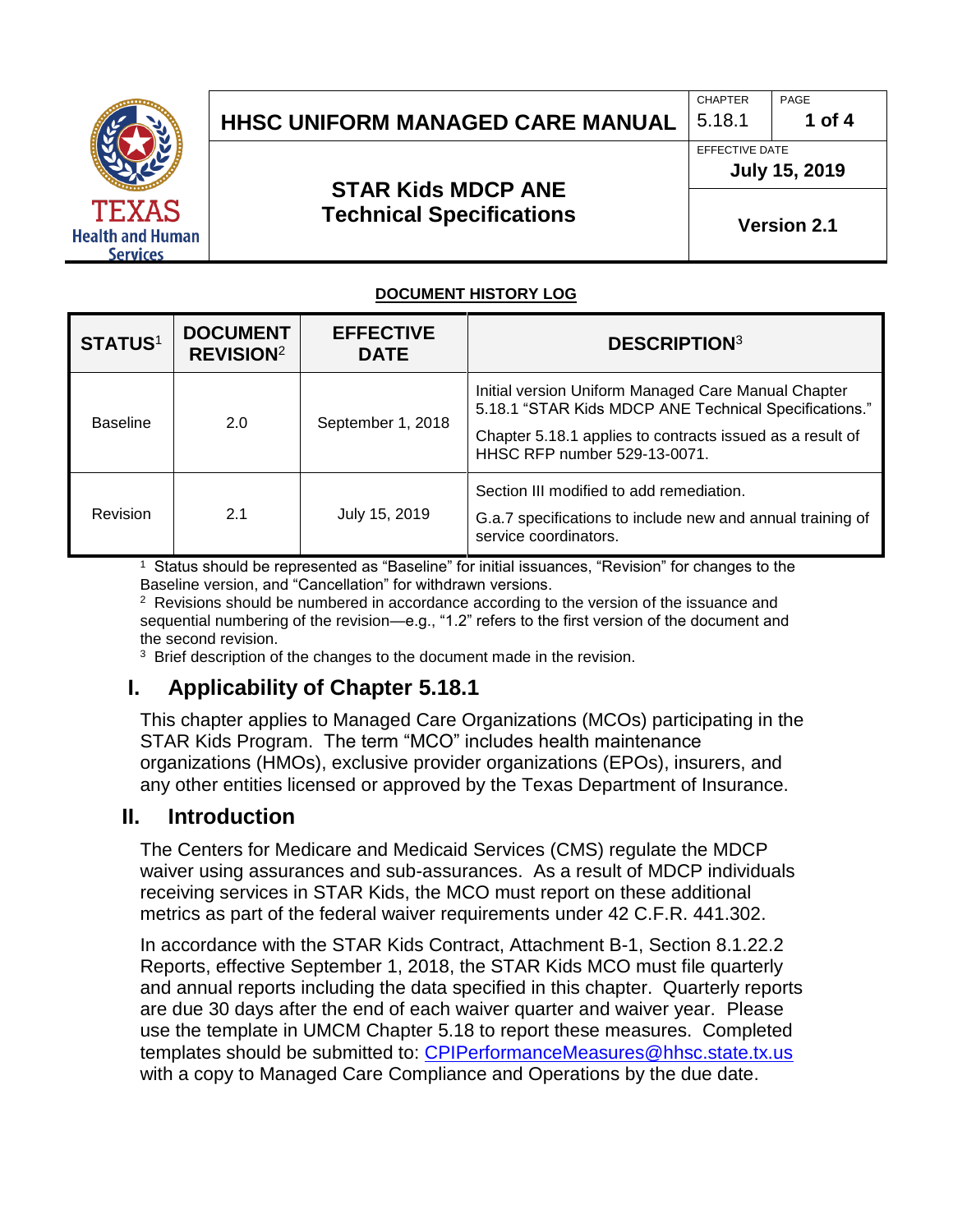

## **HHSC UNIFORM MANAGED CARE MANUAL** 5.18.1 1 of 4

#### CHAPTER PAGE

**July 15, 2019** 

EFFECTIVE DATE

**STAR Kids MDCP ANE Technical Specifications**

**Version 2.1**

#### **DOCUMENT HISTORY LOG**

| <b>STATUS1</b>  | <b>DOCUMENT</b><br><b>REVISION<sup>2</sup></b> | <b>EFFECTIVE</b><br><b>DATE</b> | <b>DESCRIPTION3</b>                                                                                                                                                                                       |
|-----------------|------------------------------------------------|---------------------------------|-----------------------------------------------------------------------------------------------------------------------------------------------------------------------------------------------------------|
| <b>Baseline</b> | 2.0                                            | September 1, 2018               | Initial version Uniform Managed Care Manual Chapter<br>5.18.1 "STAR Kids MDCP ANE Technical Specifications."<br>Chapter 5.18.1 applies to contracts issued as a result of<br>HHSC RFP number 529-13-0071. |
| Revision        | 2.1                                            | July 15, 2019                   | Section III modified to add remediation.<br>G.a.7 specifications to include new and annual training of<br>service coordinators.                                                                           |

1 Status should be represented as "Baseline" for initial issuances, "Revision" for changes to the Baseline version, and "Cancellation" for withdrawn versions.

 $2$  Revisions should be numbered in accordance according to the version of the issuance and sequential numbering of the revision—e.g., "1.2" refers to the first version of the document and the second revision.

<sup>3</sup> Brief description of the changes to the document made in the revision.

### **I. Applicability of Chapter 5.18.1**

This chapter applies to Managed Care Organizations (MCOs) participating in the STAR Kids Program. The term "MCO" includes health maintenance organizations (HMOs), exclusive provider organizations (EPOs), insurers, and any other entities licensed or approved by the Texas Department of Insurance.

#### **II. Introduction**

The Centers for Medicare and Medicaid Services (CMS) regulate the MDCP waiver using assurances and sub-assurances. As a result of MDCP individuals receiving services in STAR Kids, the MCO must report on these additional metrics as part of the federal waiver requirements under 42 C.F.R. 441.302.

In accordance with the STAR Kids Contract, Attachment B-1, Section 8.1.22.2 Reports, effective September 1, 2018, the STAR Kids MCO must file quarterly and annual reports including the data specified in this chapter. Quarterly reports are due 30 days after the end of each waiver quarter and waiver year. Please use the template in UMCM Chapter 5.18 to report these measures. Completed templates should be submitted to: [CPIPerformanceMeasures@hhsc.state.tx.us](mailto:CPIPerformanceMeasures@hhsc.state.tx.us) with a copy to Managed Care Compliance and Operations by the due date.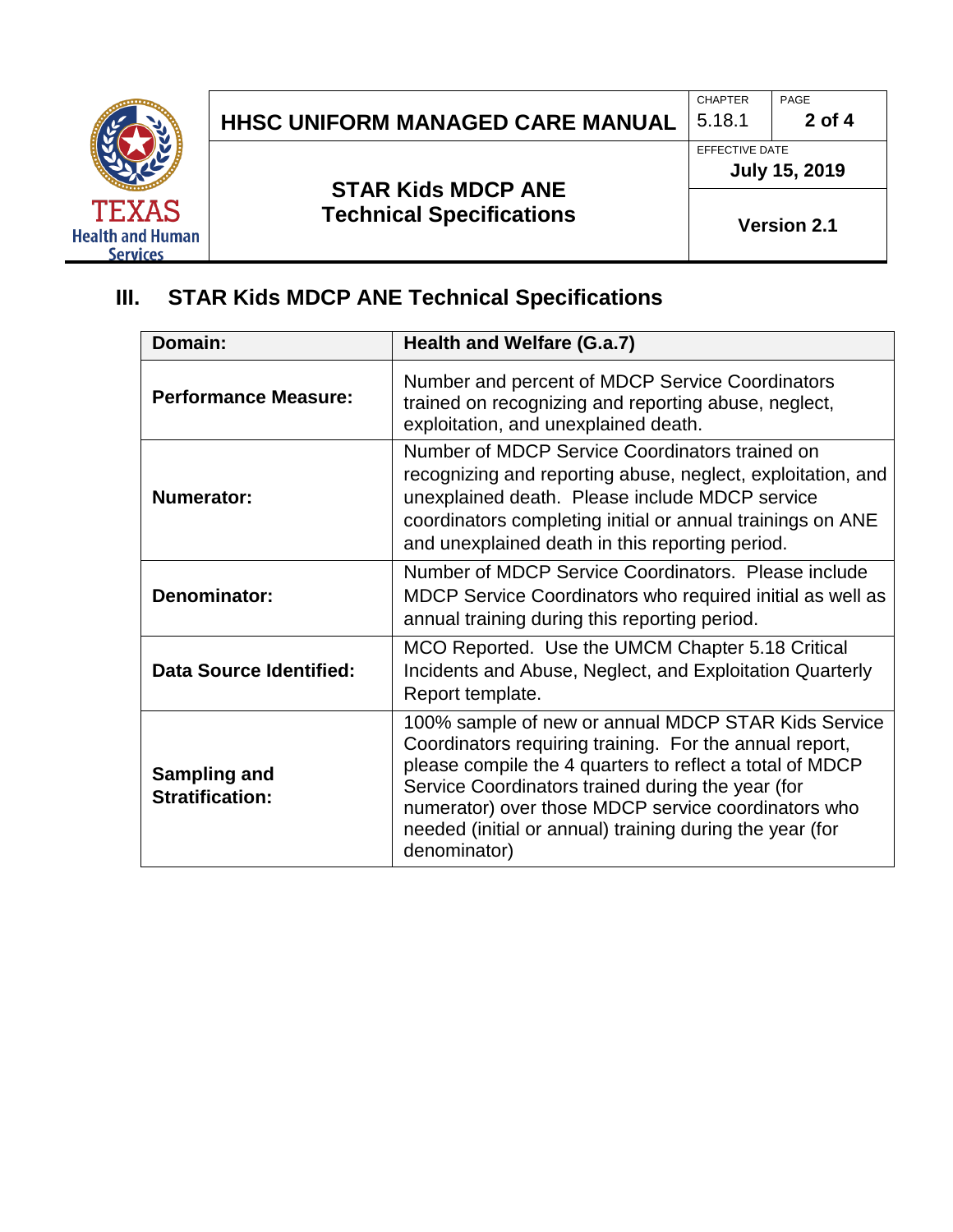

# **HHSC UNIFORM MANAGED CARE MANUAL**  $\begin{bmatrix} 5.18.1 \end{bmatrix}$  2 of 4

#### **STAR Kids MDCP ANE Technical Specifications**

CHAPTER **PAGE** 

EFFECTIVE DATE **July 15, 2019** 

**Version 2.1**

# **III. STAR Kids MDCP ANE Technical Specifications**

| Domain:                                | Health and Welfare (G.a.7)                                                                                                                                                                                                                                                                                                                                         |
|----------------------------------------|--------------------------------------------------------------------------------------------------------------------------------------------------------------------------------------------------------------------------------------------------------------------------------------------------------------------------------------------------------------------|
| <b>Performance Measure:</b>            | Number and percent of MDCP Service Coordinators<br>trained on recognizing and reporting abuse, neglect,<br>exploitation, and unexplained death.                                                                                                                                                                                                                    |
| <b>Numerator:</b>                      | Number of MDCP Service Coordinators trained on<br>recognizing and reporting abuse, neglect, exploitation, and<br>unexplained death. Please include MDCP service<br>coordinators completing initial or annual trainings on ANE<br>and unexplained death in this reporting period.                                                                                   |
| <b>Denominator:</b>                    | Number of MDCP Service Coordinators. Please include<br>MDCP Service Coordinators who required initial as well as<br>annual training during this reporting period.                                                                                                                                                                                                  |
| <b>Data Source Identified:</b>         | MCO Reported. Use the UMCM Chapter 5.18 Critical<br>Incidents and Abuse, Neglect, and Exploitation Quarterly<br>Report template.                                                                                                                                                                                                                                   |
| Sampling and<br><b>Stratification:</b> | 100% sample of new or annual MDCP STAR Kids Service<br>Coordinators requiring training. For the annual report,<br>please compile the 4 quarters to reflect a total of MDCP<br>Service Coordinators trained during the year (for<br>numerator) over those MDCP service coordinators who<br>needed (initial or annual) training during the year (for<br>denominator) |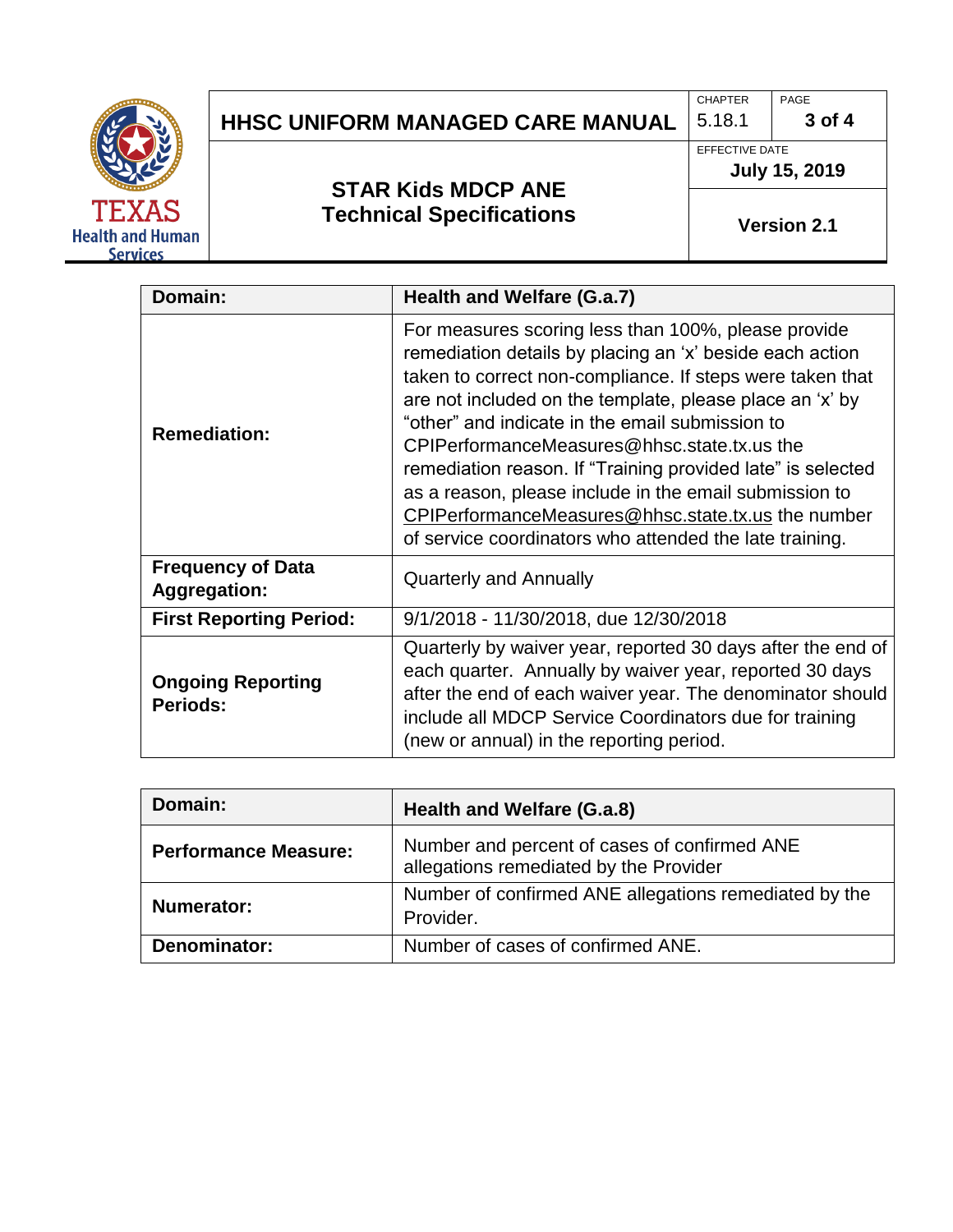

### **HHSC UNIFORM MANAGED CARE MANUAL**  $\begin{bmatrix} 5.18.1 \end{bmatrix}$  3 of 4

### **STAR Kids MDCP ANE Technical Specifications**

EFFECTIVE DATE **July 15, 2019** 

CHAPTER **PAGE** 

**Version 2.1**

| Domain:                                         | Health and Welfare (G.a.7)                                                                                                                                                                                                                                                                                                                                                                                                                                                                                                                                                           |
|-------------------------------------------------|--------------------------------------------------------------------------------------------------------------------------------------------------------------------------------------------------------------------------------------------------------------------------------------------------------------------------------------------------------------------------------------------------------------------------------------------------------------------------------------------------------------------------------------------------------------------------------------|
| <b>Remediation:</b>                             | For measures scoring less than 100%, please provide<br>remediation details by placing an 'x' beside each action<br>taken to correct non-compliance. If steps were taken that<br>are not included on the template, please place an 'x' by<br>"other" and indicate in the email submission to<br>CPIPerformanceMeasures@hhsc.state.tx.us the<br>remediation reason. If "Training provided late" is selected<br>as a reason, please include in the email submission to<br>CPIPerformanceMeasures@hhsc.state.tx.us the number<br>of service coordinators who attended the late training. |
| <b>Frequency of Data</b><br><b>Aggregation:</b> | <b>Quarterly and Annually</b>                                                                                                                                                                                                                                                                                                                                                                                                                                                                                                                                                        |
| <b>First Reporting Period:</b>                  | 9/1/2018 - 11/30/2018, due 12/30/2018                                                                                                                                                                                                                                                                                                                                                                                                                                                                                                                                                |
| <b>Ongoing Reporting</b><br><b>Periods:</b>     | Quarterly by waiver year, reported 30 days after the end of<br>each quarter. Annually by waiver year, reported 30 days<br>after the end of each waiver year. The denominator should<br>include all MDCP Service Coordinators due for training<br>(new or annual) in the reporting period.                                                                                                                                                                                                                                                                                            |

| Domain:                     | Health and Welfare (G.a.8)                                                             |
|-----------------------------|----------------------------------------------------------------------------------------|
| <b>Performance Measure:</b> | Number and percent of cases of confirmed ANE<br>allegations remediated by the Provider |
| <b>Numerator:</b>           | Number of confirmed ANE allegations remediated by the<br>Provider.                     |
| Denominator:                | Number of cases of confirmed ANE.                                                      |